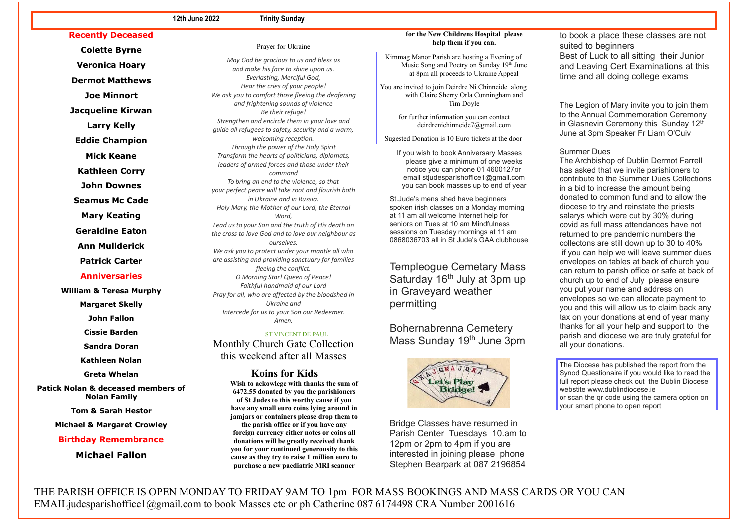### **12th June 2022 Trinity Sunday**

**Recently Deceased**

**Colette Byrne Veronica Hoary Dermot Matthews Joe Minnort Jacqueline Kirwan**

**Larry Kelly**

**Eddie Champion**

**Mick Keane**

**Kathleen Corry**

**John Downes**

**Seamus Mc Cade**

**Mary Keating**

**Geraldine Eaton**

**Ann Mullderick**

**Patrick Carter**

## **Anniversaries**

**William & Teresa Murphy**

**Margaret Skelly**

**John Fallon**

**Cissie Barden**

**Sandra Doran**

**Kathleen Nolan**

**Greta Whelan**

**Patick Nolan & deceased members of Nolan Family**

**Tom & Sarah Hestor**

**Michael & Margaret Crowley**

# **Birthday Remembrance**

**Michael Fallon**

*May God be gracious to us and bless us and make his face to shine upon us. Everlasting, Merciful God, Hear the cries of your people! We ask you to comfort those fleeing the deafening and frightening sounds of violence Be their refuge! Strengthen and encircle them in your love and guide all refugees to safety, security and a warm, welcoming reception. Through the power of the Holy Spirit Transform the hearts of politicians, diplomats, leaders of armed forces and those under their command To bring an end to the violence, so that your perfect peace will take root and flourish both in Ukraine and in Russia. Holy Mary, the Mother of our Lord, the Eternal Word, Lead us to your Son and the truth of His death on the cross to love God and to love our neighbour as ourselves. We ask you to protect under your mantle all who are assisting and providing sanctuary for families fleeing the conflict. O Morning Star! Queen of Peace! Faithful handmaid of our Lord Pray for all, who are affected by the bloodshed in Ukraine and Intercede for us to your Son our Redeemer. Amen.*

Prayer for Ukraine

 ST VINCENT DE PAUL Monthly Church Gate Collection this weekend after all Masses

> **Koins for Kids Wish to ackowlege with thanks the sum of 6472.55 donated by you the parishioners of St Judes to this worthy cause if you have any small euro coins lying around in jamjars or containers please drop them to the parish office or if you have any foreign currency either notes or coins all donations will be greatly received thank you for your continued generousity to this cause as they try to raise 1 million euro to purchase a new paediatric MRI scanner**

### **for the New Childrens Hospital please help them if you can.**

Kimmag Manor Parish are hosting a Evening of Music Song and Poetry on Sunday 19th June at 8pm all proceeds to Ukraine Appeal

You are invited to join Deirdre Ni Chinneide along with Claire Sherry Orla Cunningham and Tim Doyle

> for further information you can contact [deirdrenichinneide7@gmail.com](mailto:deirdrenichinneide7@gmail.com)

Sugested Donation is 10 Euro tickets at the door

 If you wish to book Anniversary Masses please give a minimum of one weeks notice you can phone 01 4600127or email stiudesparishoffice1@gmail.com you can book masses up to end of year

St.Jude's mens shed have beginners spoken irish classes on a Monday morning at 11 am all welcome Internet help for seniors on Tues at 10 am Mindfulness sessions on Tuesday mornings at 11 am 0868036703 all in St Jude's GAA clubhouse

Templeogue Cemetary Mass Saturday 16<sup>th</sup> July at 3pm up in Graveyard weather permitting

Bohernabrenna Cemetery Mass Sunday 19<sup>th</sup> June 3pm



Bridge Classes have resumed in Parish Center Tuesdays 10.am to 12pm or 2pm to 4pm if you are interested in joining please phone Stephen Bearpark at 087 2196854

to book a place these classes are not suited to beginners Best of Luck to all sitting their Junior and Leaving Cert Examinations at this time and all doing college exams

The Legion of Mary invite you to join them to the Annual Commemoration Ceremony in Glasnevin Ceremony this Sunday 12<sup>th</sup> June at 3pm Speaker Fr Liam O'Cuiv

## Summer Dues

The Archbishop of Dublin Dermot Farrell has asked that we invite parishioners to contribute to the Summer Dues Collections in a bid to increase the amount being donated to common fund and to allow the diocese to try and reinstate the priests salarys which were cut by 30% during covid as full mass attendances have not returned to pre pandemic numbers the collectons are still down up to 30 to 40% if you can help we will leave summer dues envelopes on tables at back of church you can return to parish office or safe at back of church up to end of July please ensure you put your name and address on envelopes so we can allocate payment to you and this will allow us to claim back any tax on your donations at end of year many thanks for all your help and support to the parish and diocese we are truly grateful for all your donations.

The Diocese has published the report from the Synod Questionaire if you would like to read the full report please check out the Dublin Diocese webstite www.dublindiocese.ie or scan the qr code using the camera option on your smart phone to open report

THE PARISH OFFICE IS OPEN MONDAY TO FRIDAY 9AM TO 1pm FOR MASS BOOKINGS AND MASS CARDS OR YOU CAN EMAILjudesparishoffice1@gmail.com to book Masses etc or ph Catherine 087 6174498 CRA Number 2001616